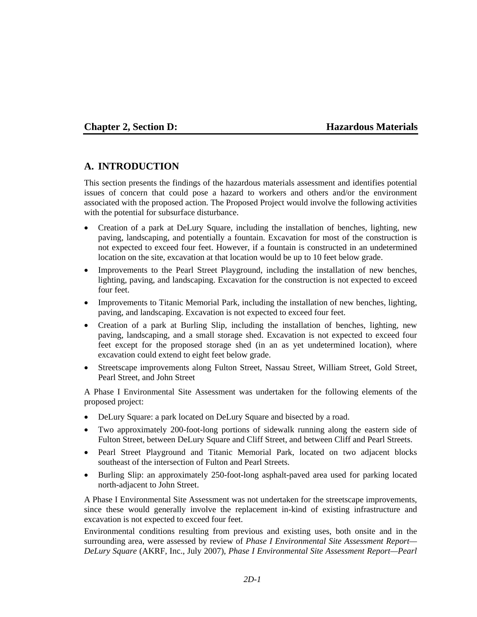### **Chapter 2, Section D: Hazardous Materials**

## **A. INTRODUCTION**

This section presents the findings of the hazardous materials assessment and identifies potential issues of concern that could pose a hazard to workers and others and/or the environment associated with the proposed action. The Proposed Project would involve the following activities with the potential for subsurface disturbance.

- Creation of a park at DeLury Square, including the installation of benches, lighting, new paving, landscaping, and potentially a fountain. Excavation for most of the construction is not expected to exceed four feet. However, if a fountain is constructed in an undetermined location on the site, excavation at that location would be up to 10 feet below grade.
- Improvements to the Pearl Street Playground, including the installation of new benches, lighting, paving, and landscaping. Excavation for the construction is not expected to exceed four feet.
- Improvements to Titanic Memorial Park, including the installation of new benches, lighting, paving, and landscaping. Excavation is not expected to exceed four feet.
- Creation of a park at Burling Slip, including the installation of benches, lighting, new paving, landscaping, and a small storage shed. Excavation is not expected to exceed four feet except for the proposed storage shed (in an as yet undetermined location), where excavation could extend to eight feet below grade.
- Streetscape improvements along Fulton Street, Nassau Street, William Street, Gold Street, Pearl Street, and John Street

A Phase I Environmental Site Assessment was undertaken for the following elements of the proposed project:

- DeLury Square: a park located on DeLury Square and bisected by a road.
- Two approximately 200-foot-long portions of sidewalk running along the eastern side of Fulton Street, between DeLury Square and Cliff Street, and between Cliff and Pearl Streets.
- Pearl Street Playground and Titanic Memorial Park, located on two adjacent blocks southeast of the intersection of Fulton and Pearl Streets.
- Burling Slip: an approximately 250-foot-long asphalt-paved area used for parking located north-adjacent to John Street.

A Phase I Environmental Site Assessment was not undertaken for the streetscape improvements, since these would generally involve the replacement in-kind of existing infrastructure and excavation is not expected to exceed four feet.

Environmental conditions resulting from previous and existing uses, both onsite and in the surrounding area, were assessed by review of *Phase I Environmental Site Assessment Report— DeLury Square* (AKRF, Inc., July 2007), *Phase I Environmental Site Assessment Report—Pearl*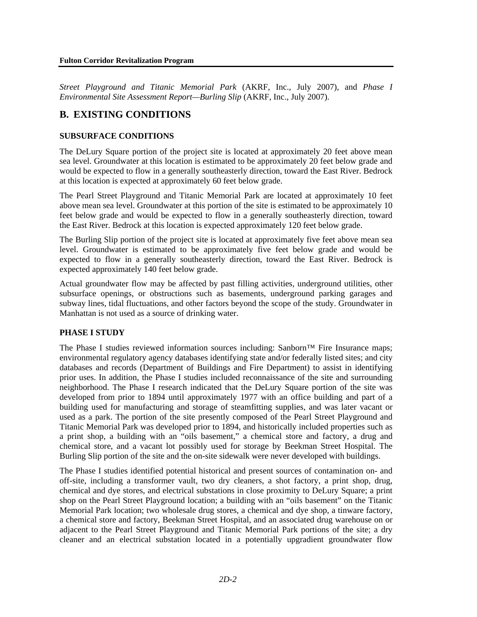*Street Playground and Titanic Memorial Park* (AKRF, Inc., July 2007), and *Phase I Environmental Site Assessment Report—Burling Slip* (AKRF, Inc., July 2007).

# **B. EXISTING CONDITIONS**

#### **SUBSURFACE CONDITIONS**

The DeLury Square portion of the project site is located at approximately 20 feet above mean sea level. Groundwater at this location is estimated to be approximately 20 feet below grade and would be expected to flow in a generally southeasterly direction, toward the East River. Bedrock at this location is expected at approximately 60 feet below grade.

The Pearl Street Playground and Titanic Memorial Park are located at approximately 10 feet above mean sea level. Groundwater at this portion of the site is estimated to be approximately 10 feet below grade and would be expected to flow in a generally southeasterly direction, toward the East River. Bedrock at this location is expected approximately 120 feet below grade.

The Burling Slip portion of the project site is located at approximately five feet above mean sea level. Groundwater is estimated to be approximately five feet below grade and would be expected to flow in a generally southeasterly direction, toward the East River. Bedrock is expected approximately 140 feet below grade.

Actual groundwater flow may be affected by past filling activities, underground utilities, other subsurface openings, or obstructions such as basements, underground parking garages and subway lines, tidal fluctuations, and other factors beyond the scope of the study. Groundwater in Manhattan is not used as a source of drinking water.

#### **PHASE I STUDY**

The Phase I studies reviewed information sources including: Sanborn™ Fire Insurance maps; environmental regulatory agency databases identifying state and/or federally listed sites; and city databases and records (Department of Buildings and Fire Department) to assist in identifying prior uses. In addition, the Phase I studies included reconnaissance of the site and surrounding neighborhood. The Phase I research indicated that the DeLury Square portion of the site was developed from prior to 1894 until approximately 1977 with an office building and part of a building used for manufacturing and storage of steamfitting supplies, and was later vacant or used as a park. The portion of the site presently composed of the Pearl Street Playground and Titanic Memorial Park was developed prior to 1894, and historically included properties such as a print shop, a building with an "oils basement," a chemical store and factory, a drug and chemical store, and a vacant lot possibly used for storage by Beekman Street Hospital. The Burling Slip portion of the site and the on-site sidewalk were never developed with buildings.

The Phase I studies identified potential historical and present sources of contamination on- and off-site, including a transformer vault, two dry cleaners, a shot factory, a print shop, drug, chemical and dye stores, and electrical substations in close proximity to DeLury Square; a print shop on the Pearl Street Playground location; a building with an "oils basement" on the Titanic Memorial Park location; two wholesale drug stores, a chemical and dye shop, a tinware factory, a chemical store and factory, Beekman Street Hospital, and an associated drug warehouse on or adjacent to the Pearl Street Playground and Titanic Memorial Park portions of the site; a dry cleaner and an electrical substation located in a potentially upgradient groundwater flow